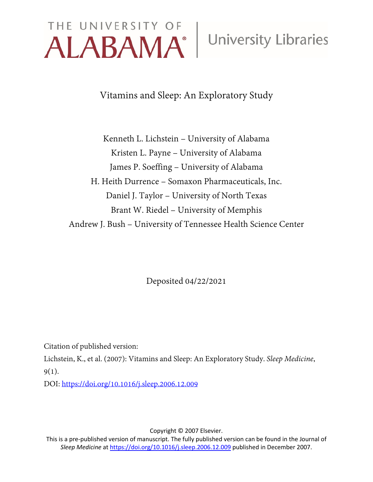# THE UNIVERSITY OF University Libraries

Vitamins and Sleep: An Exploratory Study

Kenneth L. Lichstein – University of Alabama Kristen L. Payne – University of Alabama James P. Soeffing – University of Alabama H. Heith Durrence – Somaxon Pharmaceuticals, Inc. Daniel J. Taylor – University of North Texas Brant W. Riedel – University of Memphis Andrew J. Bush – University of Tennessee Health Science Center

Deposited 04/22/2021

Citation of published version:

Lichstein, K., et al. (2007): Vitamins and Sleep: An Exploratory Study. *Sleep Medicine*, 9(1).

DOI:<https://doi.org/10.1016/j.sleep.2006.12.009>

Copyright © 2007 Elsevier.

This is a pre-published version of manuscript. The fully published version can be found in the Journal of *Sleep Medicine* a[t https://doi.org/10.1016/j.sleep.2006.12.009](https://doi.org/10.1016/j.sleep.2006.12.009) published in December 2007.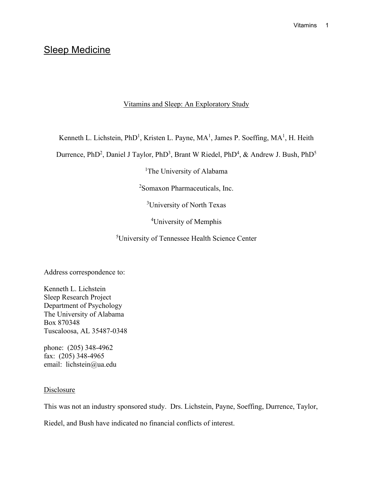# Sleep Medicine

# Vitamins and Sleep: An Exploratory Study

Kenneth L. Lichstein, PhD<sup>1</sup>, Kristen L. Payne, MA<sup>1</sup>, James P. Soeffing, MA<sup>1</sup>, H. Heith

Durrence, PhD<sup>2</sup>, Daniel J Taylor, PhD<sup>3</sup>, Brant W Riedel, PhD<sup>4</sup>, & Andrew J. Bush, PhD<sup>5</sup>

<sup>1</sup>The University of Alabama

2 Somaxon Pharmaceuticals, Inc.

3 University of North Texas

4 University of Memphis

5 University of Tennessee Health Science Center

Address correspondence to:

Kenneth L. Lichstein Sleep Research Project Department of Psychology The University of Alabama Box 870348 Tuscaloosa, AL 35487-0348

phone: (205) 348-4962 fax: (205) 348-4965 email: lichstein@ua.edu

### **Disclosure**

This was not an industry sponsored study. Drs. Lichstein, Payne, Soeffing, Durrence, Taylor,

Riedel, and Bush have indicated no financial conflicts of interest.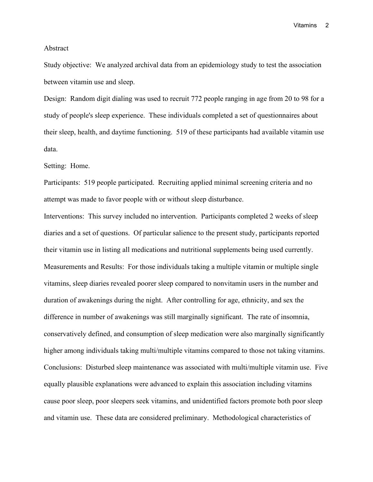#### Abstract

Study objective: We analyzed archival data from an epidemiology study to test the association between vitamin use and sleep.

Design: Random digit dialing was used to recruit 772 people ranging in age from 20 to 98 for a study of people's sleep experience. These individuals completed a set of questionnaires about their sleep, health, and daytime functioning. 519 of these participants had available vitamin use data.

#### Setting: Home.

Participants: 519 people participated. Recruiting applied minimal screening criteria and no attempt was made to favor people with or without sleep disturbance.

Interventions: This survey included no intervention. Participants completed 2 weeks of sleep diaries and a set of questions. Of particular salience to the present study, participants reported their vitamin use in listing all medications and nutritional supplements being used currently. Measurements and Results: For those individuals taking a multiple vitamin or multiple single vitamins, sleep diaries revealed poorer sleep compared to nonvitamin users in the number and duration of awakenings during the night. After controlling for age, ethnicity, and sex the difference in number of awakenings was still marginally significant. The rate of insomnia, conservatively defined, and consumption of sleep medication were also marginally significantly higher among individuals taking multi/multiple vitamins compared to those not taking vitamins. Conclusions: Disturbed sleep maintenance was associated with multi/multiple vitamin use. Five equally plausible explanations were advanced to explain this association including vitamins cause poor sleep, poor sleepers seek vitamins, and unidentified factors promote both poor sleep and vitamin use. These data are considered preliminary. Methodological characteristics of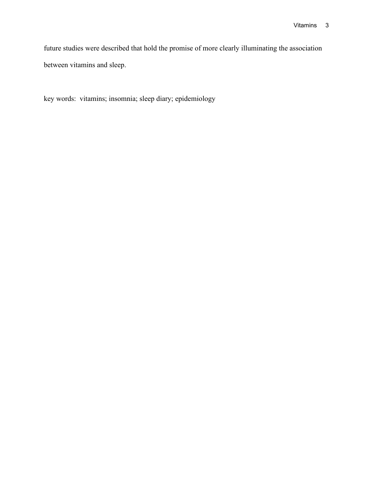future studies were described that hold the promise of more clearly illuminating the association between vitamins and sleep.

key words: vitamins; insomnia; sleep diary; epidemiology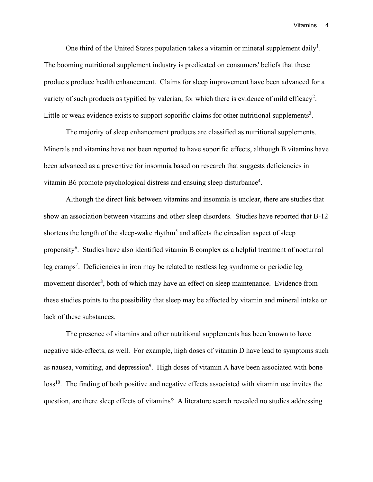One third of the United States population takes a vitamin or mineral supplement daily<sup>1</sup>. The booming nutritional supplement industry is predicated on consumers' beliefs that these products produce health enhancement. Claims for sleep improvement have been advanced for a variety of such products as typified by valerian, for which there is evidence of mild efficacy<sup>2</sup>. Little or weak evidence exists to support soporific claims for other nutritional supplements<sup>3</sup>.

The majority of sleep enhancement products are classified as nutritional supplements. Minerals and vitamins have not been reported to have soporific effects, although B vitamins have been advanced as a preventive for insomnia based on research that suggests deficiencies in vitamin B6 promote psychological distress and ensuing sleep disturbance<sup>4</sup>.

Although the direct link between vitamins and insomnia is unclear, there are studies that show an association between vitamins and other sleep disorders. Studies have reported that B-12 shortens the length of the sleep-wake rhythm<sup>5</sup> and affects the circadian aspect of sleep propensity<sup>6</sup>. Studies have also identified vitamin B complex as a helpful treatment of nocturnal leg cramps<sup>7</sup>. Deficiencies in iron may be related to restless leg syndrome or periodic leg movement disorder<sup>8</sup>, both of which may have an effect on sleep maintenance. Evidence from these studies points to the possibility that sleep may be affected by vitamin and mineral intake or lack of these substances.

The presence of vitamins and other nutritional supplements has been known to have negative side-effects, as well. For example, high doses of vitamin D have lead to symptoms such as nausea, vomiting, and depression<sup>9</sup>. High doses of vitamin A have been associated with bone loss<sup>10</sup>. The finding of both positive and negative effects associated with vitamin use invites the question, are there sleep effects of vitamins? A literature search revealed no studies addressing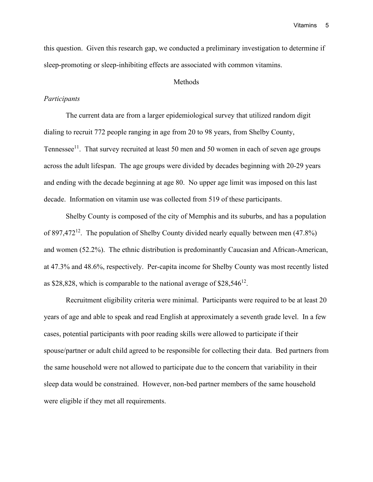this question. Given this research gap, we conducted a preliminary investigation to determine if sleep-promoting or sleep-inhibiting effects are associated with common vitamins.

#### **Methods**

#### *Participants*

The current data are from a larger epidemiological survey that utilized random digit dialing to recruit 772 people ranging in age from 20 to 98 years, from Shelby County, Tennessee<sup>11</sup>. That survey recruited at least 50 men and 50 women in each of seven age groups across the adult lifespan. The age groups were divided by decades beginning with 20-29 years and ending with the decade beginning at age 80. No upper age limit was imposed on this last decade. Information on vitamin use was collected from 519 of these participants.

Shelby County is composed of the city of Memphis and its suburbs, and has a population of 897,472<sup>12</sup>. The population of Shelby County divided nearly equally between men  $(47.8%)$ and women (52.2%). The ethnic distribution is predominantly Caucasian and African-American, at 47.3% and 48.6%, respectively. Per-capita income for Shelby County was most recently listed as \$28,828, which is comparable to the national average of  $$28,546^{12}$ .

Recruitment eligibility criteria were minimal. Participants were required to be at least 20 years of age and able to speak and read English at approximately a seventh grade level. In a few cases, potential participants with poor reading skills were allowed to participate if their spouse/partner or adult child agreed to be responsible for collecting their data. Bed partners from the same household were not allowed to participate due to the concern that variability in their sleep data would be constrained. However, non-bed partner members of the same household were eligible if they met all requirements.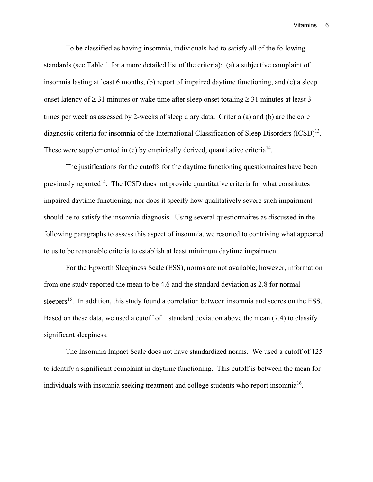To be classified as having insomnia, individuals had to satisfy all of the following standards (see Table 1 for a more detailed list of the criteria): (a) a subjective complaint of insomnia lasting at least 6 months, (b) report of impaired daytime functioning, and (c) a sleep onset latency of  $\geq$  31 minutes or wake time after sleep onset totaling  $\geq$  31 minutes at least 3 times per week as assessed by 2-weeks of sleep diary data. Criteria (a) and (b) are the core diagnostic criteria for insomnia of the International Classification of Sleep Disorders (ICSD)<sup>13</sup>. These were supplemented in (c) by empirically derived, quantitative criteria<sup>14</sup>.

The justifications for the cutoffs for the daytime functioning questionnaires have been previously reported<sup>14</sup>. The ICSD does not provide quantitative criteria for what constitutes impaired daytime functioning; nor does it specify how qualitatively severe such impairment should be to satisfy the insomnia diagnosis. Using several questionnaires as discussed in the following paragraphs to assess this aspect of insomnia, we resorted to contriving what appeared to us to be reasonable criteria to establish at least minimum daytime impairment.

For the Epworth Sleepiness Scale (ESS), norms are not available; however, information from one study reported the mean to be 4.6 and the standard deviation as 2.8 for normal sleepers<sup>15</sup>. In addition, this study found a correlation between insomnia and scores on the ESS. Based on these data, we used a cutoff of 1 standard deviation above the mean (7.4) to classify significant sleepiness.

The Insomnia Impact Scale does not have standardized norms. We used a cutoff of 125 to identify a significant complaint in daytime functioning. This cutoff is between the mean for individuals with insomnia seeking treatment and college students who report insomnia<sup>16</sup>.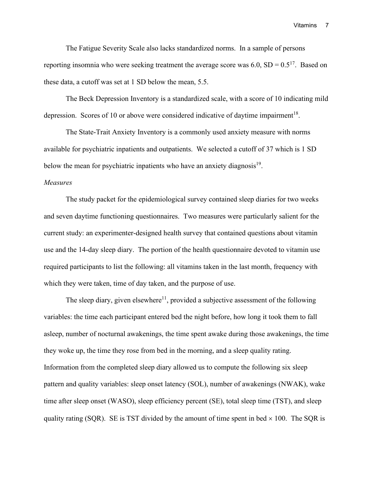The Fatigue Severity Scale also lacks standardized norms. In a sample of persons reporting insomnia who were seeking treatment the average score was  $6.0$ ,  $SD = 0.5^{17}$ . Based on these data, a cutoff was set at 1 SD below the mean, 5.5.

The Beck Depression Inventory is a standardized scale, with a score of 10 indicating mild depression. Scores of 10 or above were considered indicative of daytime impairment<sup>18</sup>.

The State-Trait Anxiety Inventory is a commonly used anxiety measure with norms available for psychiatric inpatients and outpatients. We selected a cutoff of 37 which is 1 SD below the mean for psychiatric inpatients who have an anxiety diagnosis<sup>19</sup>.

#### *Measures*

The study packet for the epidemiological survey contained sleep diaries for two weeks and seven daytime functioning questionnaires. Two measures were particularly salient for the current study: an experimenter-designed health survey that contained questions about vitamin use and the 14-day sleep diary. The portion of the health questionnaire devoted to vitamin use required participants to list the following: all vitamins taken in the last month, frequency with which they were taken, time of day taken, and the purpose of use.

The sleep diary, given elsewhere<sup>11</sup>, provided a subjective assessment of the following variables: the time each participant entered bed the night before, how long it took them to fall asleep, number of nocturnal awakenings, the time spent awake during those awakenings, the time they woke up, the time they rose from bed in the morning, and a sleep quality rating. Information from the completed sleep diary allowed us to compute the following six sleep pattern and quality variables: sleep onset latency (SOL), number of awakenings (NWAK), wake time after sleep onset (WASO), sleep efficiency percent (SE), total sleep time (TST), and sleep quality rating (SQR). SE is TST divided by the amount of time spent in bed  $\times$  100. The SQR is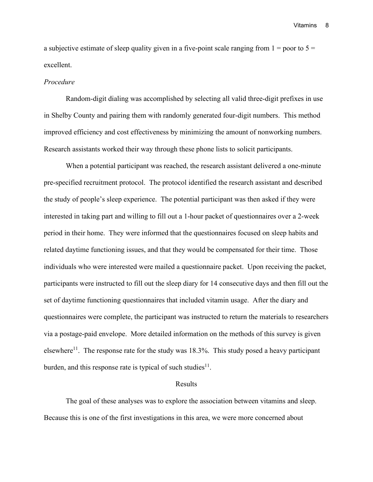a subjective estimate of sleep quality given in a five-point scale ranging from  $1 =$  poor to  $5 =$ excellent.

#### *Procedure*

Random-digit dialing was accomplished by selecting all valid three-digit prefixes in use in Shelby County and pairing them with randomly generated four-digit numbers. This method improved efficiency and cost effectiveness by minimizing the amount of nonworking numbers. Research assistants worked their way through these phone lists to solicit participants.

When a potential participant was reached, the research assistant delivered a one-minute pre-specified recruitment protocol. The protocol identified the research assistant and described the study of people's sleep experience. The potential participant was then asked if they were interested in taking part and willing to fill out a 1-hour packet of questionnaires over a 2-week period in their home. They were informed that the questionnaires focused on sleep habits and related daytime functioning issues, and that they would be compensated for their time. Those individuals who were interested were mailed a questionnaire packet. Upon receiving the packet, participants were instructed to fill out the sleep diary for 14 consecutive days and then fill out the set of daytime functioning questionnaires that included vitamin usage. After the diary and questionnaires were complete, the participant was instructed to return the materials to researchers via a postage-paid envelope. More detailed information on the methods of this survey is given elsewhere<sup>11</sup>. The response rate for the study was  $18.3\%$ . This study posed a heavy participant burden, and this response rate is typical of such studies $^{11}$ .

#### Results

The goal of these analyses was to explore the association between vitamins and sleep. Because this is one of the first investigations in this area, we were more concerned about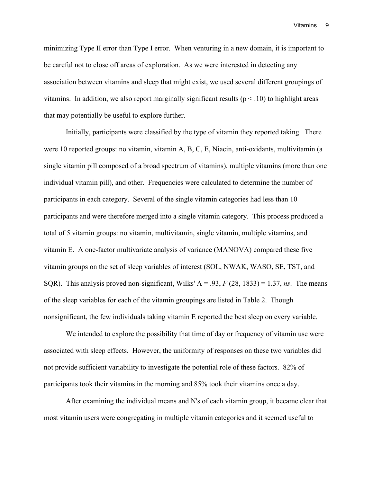minimizing Type II error than Type I error. When venturing in a new domain, it is important to be careful not to close off areas of exploration. As we were interested in detecting any association between vitamins and sleep that might exist, we used several different groupings of vitamins. In addition, we also report marginally significant results ( $p < .10$ ) to highlight areas that may potentially be useful to explore further.

Initially, participants were classified by the type of vitamin they reported taking. There were 10 reported groups: no vitamin, vitamin A, B, C, E, Niacin, anti-oxidants, multivitamin (a single vitamin pill composed of a broad spectrum of vitamins), multiple vitamins (more than one individual vitamin pill), and other. Frequencies were calculated to determine the number of participants in each category. Several of the single vitamin categories had less than 10 participants and were therefore merged into a single vitamin category. This process produced a total of 5 vitamin groups: no vitamin, multivitamin, single vitamin, multiple vitamins, and vitamin E. A one-factor multivariate analysis of variance (MANOVA) compared these five vitamin groups on the set of sleep variables of interest (SOL, NWAK, WASO, SE, TST, and SQR). This analysis proved non-significant, Wilks'  $\Lambda = .93$ ,  $F(28, 1833) = 1.37$ , *ns*. The means of the sleep variables for each of the vitamin groupings are listed in Table 2. Though nonsignificant, the few individuals taking vitamin E reported the best sleep on every variable.

We intended to explore the possibility that time of day or frequency of vitamin use were associated with sleep effects. However, the uniformity of responses on these two variables did not provide sufficient variability to investigate the potential role of these factors. 82% of participants took their vitamins in the morning and 85% took their vitamins once a day.

After examining the individual means and N's of each vitamin group, it became clear that most vitamin users were congregating in multiple vitamin categories and it seemed useful to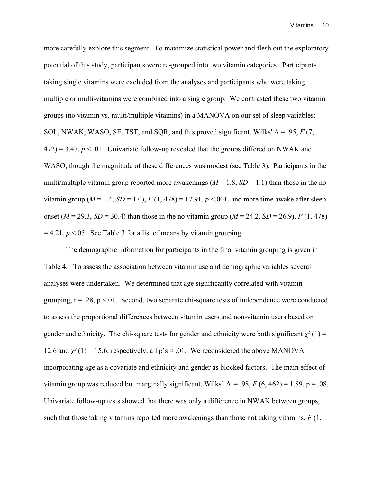more carefully explore this segment. To maximize statistical power and flesh out the exploratory potential of this study, participants were re-grouped into two vitamin categories. Participants taking single vitamins were excluded from the analyses and participants who were taking multiple or multi-vitamins were combined into a single group. We contrasted these two vitamin groups (no vitamin vs. multi/multiple vitamins) in a MANOVA on our set of sleep variables: SOL, NWAK, WASO, SE, TST, and SQR, and this proved significant, Wilks'  $\Lambda = .95, F(7, 1)$  $472$ ) = 3.47,  $p < 0.01$ . Univariate follow-up revealed that the groups differed on NWAK and WASO, though the magnitude of these differences was modest (see Table 3). Participants in the multi/multiple vitamin group reported more awakenings  $(M = 1.8, SD = 1.1)$  than those in the no vitamin group ( $M = 1.4$ ,  $SD = 1.0$ ),  $F(1, 478) = 17.91$ ,  $p < .001$ , and more time awake after sleep onset ( $M = 29.3$ ,  $SD = 30.4$ ) than those in the no vitamin group ( $M = 24.2$ ,  $SD = 26.9$ ),  $F (1, 478)$  $= 4.21, p < 0.05$ . See Table 3 for a list of means by vitamin grouping.

The demographic information for participants in the final vitamin grouping is given in Table 4. To assess the association between vitamin use and demographic variables several analyses were undertaken. We determined that age significantly correlated with vitamin grouping,  $r = .28$ ,  $p < .01$ . Second, two separate chi-square tests of independence were conducted to assess the proportional differences between vitamin users and non-vitamin users based on gender and ethnicity. The chi-square tests for gender and ethnicity were both significant  $\chi^2(1)$  = 12.6 and  $\chi^2$  (1) = 15.6, respectively, all p's < .01. We reconsidered the above MANOVA incorporating age as a covariate and ethnicity and gender as blocked factors. The main effect of vitamin group was reduced but marginally significant, Wilks'  $\Lambda = .98$ ,  $F (6, 462) = 1.89$ ,  $p = .08$ . Univariate follow-up tests showed that there was only a difference in NWAK between groups, such that those taking vitamins reported more awakenings than those not taking vitamins,  $F(1, 1)$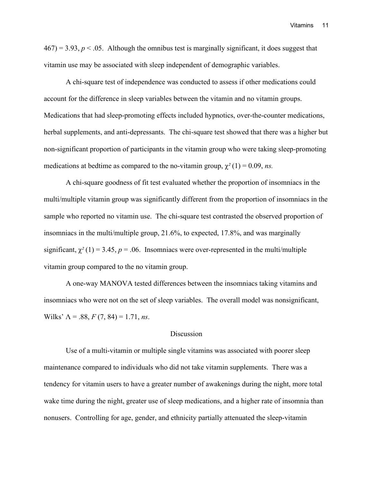$467$ ) = 3.93,  $p < 0.05$ . Although the omnibus test is marginally significant, it does suggest that vitamin use may be associated with sleep independent of demographic variables.

A chi-square test of independence was conducted to assess if other medications could account for the difference in sleep variables between the vitamin and no vitamin groups. Medications that had sleep-promoting effects included hypnotics, over-the-counter medications, herbal supplements, and anti-depressants. The chi-square test showed that there was a higher but non-significant proportion of participants in the vitamin group who were taking sleep-promoting medications at bedtime as compared to the no-vitamin group,  $\chi^2(1) = 0.09$ , *ns.* 

A chi-square goodness of fit test evaluated whether the proportion of insomniacs in the multi/multiple vitamin group was significantly different from the proportion of insomniacs in the sample who reported no vitamin use. The chi-square test contrasted the observed proportion of insomniacs in the multi/multiple group, 21.6%, to expected, 17.8%, and was marginally significant,  $\chi^2(1) = 3.45$ ,  $p = .06$ . Insomniacs were over-represented in the multi/multiple vitamin group compared to the no vitamin group.

A one-way MANOVA tested differences between the insomniacs taking vitamins and insomniacs who were not on the set of sleep variables. The overall model was nonsignificant, Wilks'  $\Lambda = .88, F(7, 84) = 1.71, ns.$ 

#### **Discussion**

Use of a multi-vitamin or multiple single vitamins was associated with poorer sleep maintenance compared to individuals who did not take vitamin supplements. There was a tendency for vitamin users to have a greater number of awakenings during the night, more total wake time during the night, greater use of sleep medications, and a higher rate of insomnia than nonusers. Controlling for age, gender, and ethnicity partially attenuated the sleep-vitamin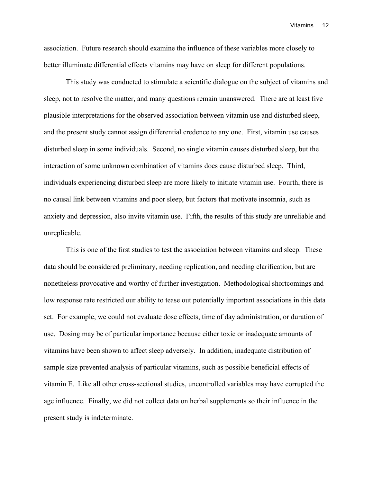association. Future research should examine the influence of these variables more closely to better illuminate differential effects vitamins may have on sleep for different populations.

This study was conducted to stimulate a scientific dialogue on the subject of vitamins and sleep, not to resolve the matter, and many questions remain unanswered. There are at least five plausible interpretations for the observed association between vitamin use and disturbed sleep, and the present study cannot assign differential credence to any one. First, vitamin use causes disturbed sleep in some individuals. Second, no single vitamin causes disturbed sleep, but the interaction of some unknown combination of vitamins does cause disturbed sleep. Third, individuals experiencing disturbed sleep are more likely to initiate vitamin use. Fourth, there is no causal link between vitamins and poor sleep, but factors that motivate insomnia, such as anxiety and depression, also invite vitamin use. Fifth, the results of this study are unreliable and unreplicable.

This is one of the first studies to test the association between vitamins and sleep. These data should be considered preliminary, needing replication, and needing clarification, but are nonetheless provocative and worthy of further investigation. Methodological shortcomings and low response rate restricted our ability to tease out potentially important associations in this data set. For example, we could not evaluate dose effects, time of day administration, or duration of use. Dosing may be of particular importance because either toxic or inadequate amounts of vitamins have been shown to affect sleep adversely. In addition, inadequate distribution of sample size prevented analysis of particular vitamins, such as possible beneficial effects of vitamin E. Like all other cross-sectional studies, uncontrolled variables may have corrupted the age influence. Finally, we did not collect data on herbal supplements so their influence in the present study is indeterminate.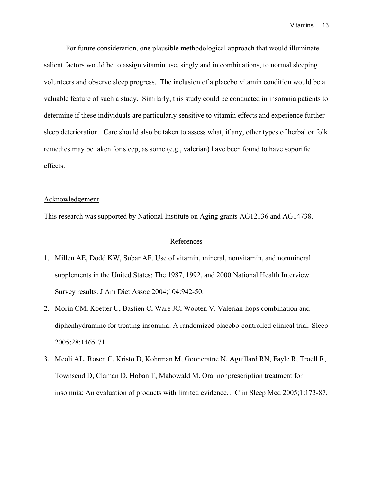For future consideration, one plausible methodological approach that would illuminate salient factors would be to assign vitamin use, singly and in combinations, to normal sleeping volunteers and observe sleep progress. The inclusion of a placebo vitamin condition would be a valuable feature of such a study. Similarly, this study could be conducted in insomnia patients to determine if these individuals are particularly sensitive to vitamin effects and experience further sleep deterioration. Care should also be taken to assess what, if any, other types of herbal or folk remedies may be taken for sleep, as some (e.g., valerian) have been found to have soporific effects.

#### Acknowledgement

This research was supported by National Institute on Aging grants AG12136 and AG14738.

#### References

- 1. Millen AE, Dodd KW, Subar AF. Use of vitamin, mineral, nonvitamin, and nonmineral supplements in the United States: The 1987, 1992, and 2000 National Health Interview Survey results. J Am Diet Assoc 2004;104:942-50.
- 2. Morin CM, Koetter U, Bastien C, Ware JC, Wooten V. Valerian-hops combination and diphenhydramine for treating insomnia: A randomized placebo-controlled clinical trial. Sleep 2005;28:1465-71.
- 3. Meoli AL, Rosen C, Kristo D, Kohrman M, Gooneratne N, Aguillard RN, Fayle R, Troell R, Townsend D, Claman D, Hoban T, Mahowald M. Oral nonprescription treatment for insomnia: An evaluation of products with limited evidence. J Clin Sleep Med 2005;1:173-87.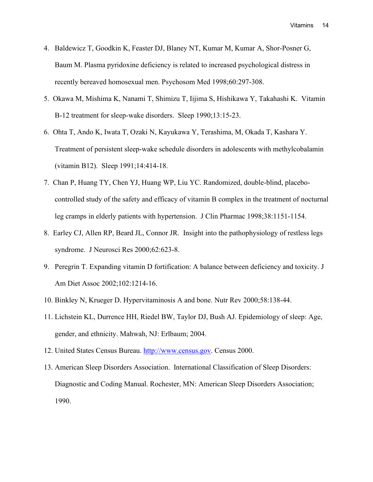- 4. Baldewicz T, Goodkin K, Feaster DJ, Blaney NT, Kumar M, Kumar A, Shor-Posner G, Baum M. Plasma pyridoxine deficiency is related to increased psychological distress in recently bereaved homosexual men. Psychosom Med 1998;60:297-308.
- 5. Okawa M, Mishima K, Nanami T, Shimizu T, Iijima S, Hishikawa Y, Takahashi K. Vitamin B-12 treatment for sleep-wake disorders. Sleep 1990;13:15-23.
- 6. Ohta T, Ando K, Iwata T, Ozaki N, Kayukawa Y, Terashima, M, Okada T, Kashara Y. Treatment of persistent sleep-wake schedule disorders in adolescents with methylcobalamin (vitamin B12). Sleep 1991;14:414-18.
- 7. Chan P, Huang TY, Chen YJ, Huang WP, Liu YC. Randomized, double-blind, placebocontrolled study of the safety and efficacy of vitamin B complex in the treatment of nocturnal leg cramps in elderly patients with hypertension. J Clin Pharmac 1998;38:1151-1154.
- 8. Earley CJ, Allen RP, Beard JL, Connor JR. Insight into the pathophysiology of restless legs syndrome. J Neurosci Res 2000;62:623-8.
- 9. Peregrin T. Expanding vitamin D fortification: A balance between deficiency and toxicity. J Am Diet Assoc 2002;102:1214-16.
- 10. Binkley N, Krueger D. Hypervitaminosis A and bone. Nutr Rev 2000;58:138-44.
- 11. Lichstein KL, Durrence HH, Riedel BW, Taylor DJ, Bush AJ. Epidemiology of sleep: Age, gender, and ethnicity. Mahwah, NJ: Erlbaum; 2004.
- 12. United States Census Bureau. [http://www.census.gov.](http://www.census.gov/) Census 2000.
- 13. American Sleep Disorders Association. International Classification of Sleep Disorders: Diagnostic and Coding Manual. Rochester, MN: American Sleep Disorders Association; 1990.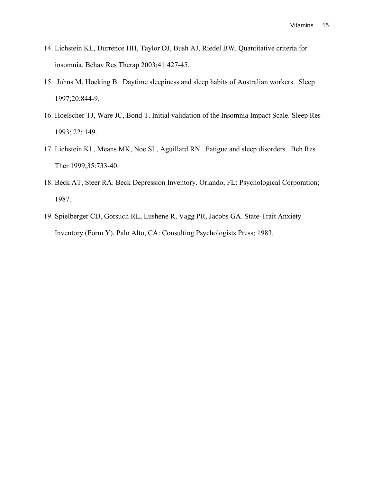- 14. Lichstein KL, Durrence HH, Taylor DJ, Bush AJ, Riedel BW. Quantitative criteria for insomnia. Behav Res Therap 2003;41:427-45.
- 15. Johns M, Hocking B. Daytime sleepiness and sleep habits of Australian workers. Sleep 1997;20:844-9.
- 16. Hoelscher TJ, Ware JC, Bond T. Initial validation of the Insomnia Impact Scale. Sleep Res 1993; 22: 149.
- 17. Lichstein KL, Means MK, Noe SL, Aguillard RN. Fatigue and sleep disorders. Beh Res Ther 1999;35:733-40.
- 18. Beck AT, Steer RA. Beck Depression Inventory. Orlando, FL: Psychological Corporation; 1987.
- 19. Spielberger CD, Gorsuch RL, Lushene R, Vagg PR, Jacobs GA. State-Trait Anxiety Inventory (Form Y). Palo Alto, CA: Consulting Psychologists Press; 1983.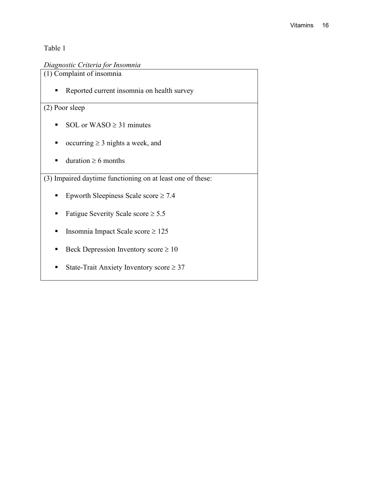# *Diagnostic Criteria for Insomnia*

(1) Complaint of insomnia

Reported current insomnia on health survey

# (2) Poor sleep

- SOL or WASO  $\geq$  31 minutes
- occurring  $\geq 3$  nights a week, and
- duration  $\geq 6$  months

(3) Impaired daytime functioning on at least one of these:

- Epworth Sleepiness Scale score  $\geq 7.4$
- Fatigue Severity Scale score  $\geq 5.5$
- Insomnia Impact Scale score  $≥ 125$
- Beck Depression Inventory score  $\geq 10$
- State-Trait Anxiety Inventory score  $\geq 37$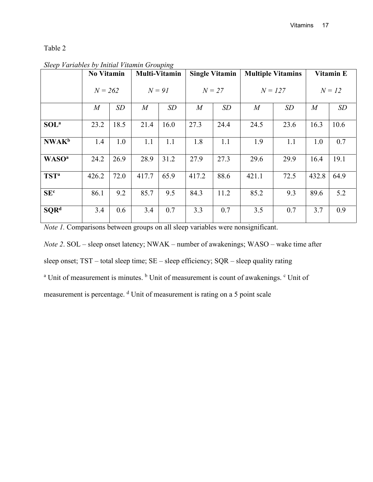|                          | $\ldots$<br><b>No Vitamin</b> |      | <b>Multi-Vitamin</b> |      | <b>Single Vitamin</b> |      | <b>Multiple Vitamins</b> |      | Vitamin E      |      |
|--------------------------|-------------------------------|------|----------------------|------|-----------------------|------|--------------------------|------|----------------|------|
|                          | $N = 262$                     |      | $N = 9I$             |      | $N=27$                |      | $N = 127$                |      | $N = 12$       |      |
|                          | $\boldsymbol{M}$              | SD   | $\boldsymbol{M}$     | SD   | $\overline{M}$        | SD   | $\boldsymbol{M}$         | SD   | $\overline{M}$ | SD   |
| SOL <sup>a</sup>         | 23.2                          | 18.5 | 21.4                 | 16.0 | 27.3                  | 24.4 | 24.5                     | 23.6 | 16.3           | 10.6 |
| <b>NWAK</b> <sup>b</sup> | 1.4                           | 1.0  | 1.1                  | 1.1  | 1.8                   | 1.1  | 1.9                      | 1.1  | 1.0            | 0.7  |
| <b>WASO<sup>a</sup></b>  | 24.2                          | 26.9 | 28.9                 | 31.2 | 27.9                  | 27.3 | 29.6                     | 29.9 | 16.4           | 19.1 |
| TST <sup>a</sup>         | 426.2                         | 72.0 | 417.7                | 65.9 | 417.2                 | 88.6 | 421.1                    | 72.5 | 432.8          | 64.9 |
| SE <sup>c</sup>          | 86.1                          | 9.2  | 85.7                 | 9.5  | 84.3                  | 11.2 | 85.2                     | 9.3  | 89.6           | 5.2  |
| SQR <sup>d</sup>         | 3.4                           | 0.6  | 3.4                  | 0.7  | 3.3                   | 0.7  | 3.5                      | 0.7  | 3.7            | 0.9  |

*Sleep Variables by Initial Vitamin Grouping*

*Note 1.* Comparisons between groups on all sleep variables were nonsignificant.

*Note 2*. SOL – sleep onset latency; NWAK – number of awakenings; WASO – wake time after

sleep onset; TST – total sleep time; SE – sleep efficiency; SQR – sleep quality rating

<sup>a</sup> Unit of measurement is minutes. <sup>b</sup> Unit of measurement is count of awakenings. <sup>c</sup> Unit of

measurement is percentage. <sup>d</sup> Unit of measurement is rating on a 5 point scale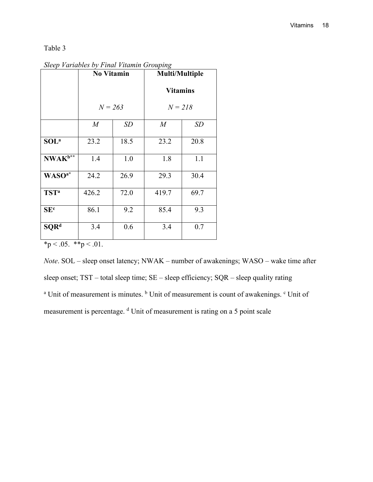*Sleep Variables by Final Vitamin Grouping*

|                        | <b>No Vitamin</b> |      | <b>Multi/Multiple</b> |      |  |  |
|------------------------|-------------------|------|-----------------------|------|--|--|
|                        |                   |      | <b>Vitamins</b>       |      |  |  |
|                        | $N = 263$         |      | $N = 218$             |      |  |  |
|                        | $\boldsymbol{M}$  | SD   | $\boldsymbol{M}$      | SD   |  |  |
| SOL <sup>a</sup>       | 23.2              | 18.5 | 23.2                  | 20.8 |  |  |
| NWAK <sup>b**</sup>    | 1.4               | 1.0  | 1.8                   | 1.1  |  |  |
| WASO <sup>a*</sup>     | 24.2              | 26.9 | 29.3                  | 30.4 |  |  |
| <b>TST<sup>a</sup></b> | 426.2             | 72.0 | 419.7                 | 69.7 |  |  |
| <b>SE</b> <sup>c</sup> | 86.1              | 9.2  | 85.4                  | 9.3  |  |  |
| $\text{SQR}^d$         | 3.4               | 0.6  | 3.4                   | 0.7  |  |  |

 $*_{p} < .05.$  \*\*p  $< .01.$ 

*Note*. SOL – sleep onset latency; NWAK – number of awakenings; WASO – wake time after sleep onset; TST – total sleep time; SE – sleep efficiency; SQR – sleep quality rating <sup>a</sup> Unit of measurement is minutes. <sup>b</sup> Unit of measurement is count of awakenings. <sup>c</sup> Unit of measurement is percentage. <sup>d</sup> Unit of measurement is rating on a 5 point scale